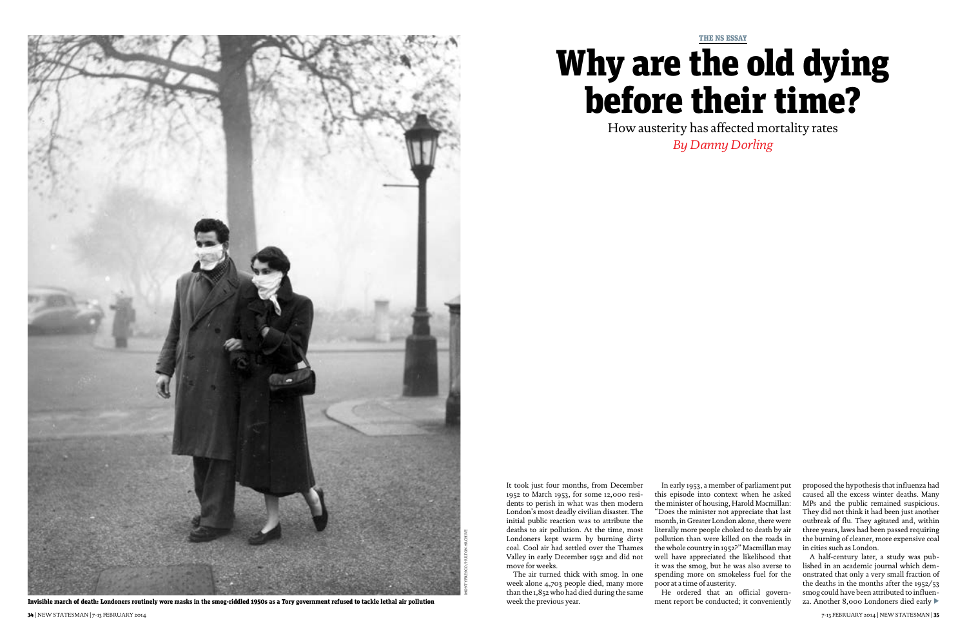

It took just four months, from December 1952 to March 1953, for some 12,000 residents to perish in what was then modern London's most deadly civilian disaster. The initial public reaction was to attribute the deaths to air pollution. At the time, most Londoners kept warm by burning dirty coal. Cool air had settled over the Thames Valley in early December 1952 and did not move for weeks.

The air turned thick with smog. In one week alone 4,703 people died, many more than the 1,852 who had died during the same week the previous year.

In early 1953, a member of parliament put this episode into context when he asked the minister of housing, Harold Macmillan: "Does the minister not appreciate that last month, in Greater London alone, there were literally more people choked to death by air pollution than were killed on the roads in the whole country in 1952?" Macmillan may well have appreciated the likelihood that it was the smog, but he was also averse to spending more on smokeless fuel for the poor at a time of austerity.

He ordered that an official government report be conducted; it conveniently proposed the hypothesis that influenza had caused all the excess winter deaths. Many MPs and the public remained suspicious. They did not think it had been just another outbreak of flu. They agitated and, within three years, laws had been passed requiring the burning of cleaner, more expensive coal in cities such as London.

A half-century later, a study was published in an academic journal which demonstrated that only a very small fraction of the deaths in the months after the 1952/53 smog could have been attributed to influenza. Another 8,000 Londoners died early

# THE NS ESSAY Why are the old dying before their time?

How austerity has affected mortality rates *By Danny Dorling*

Invisible march of death: Londoners routinely wore masks in the smog-riddled 1950s as a Tory government refused to tackle lethal air pollution t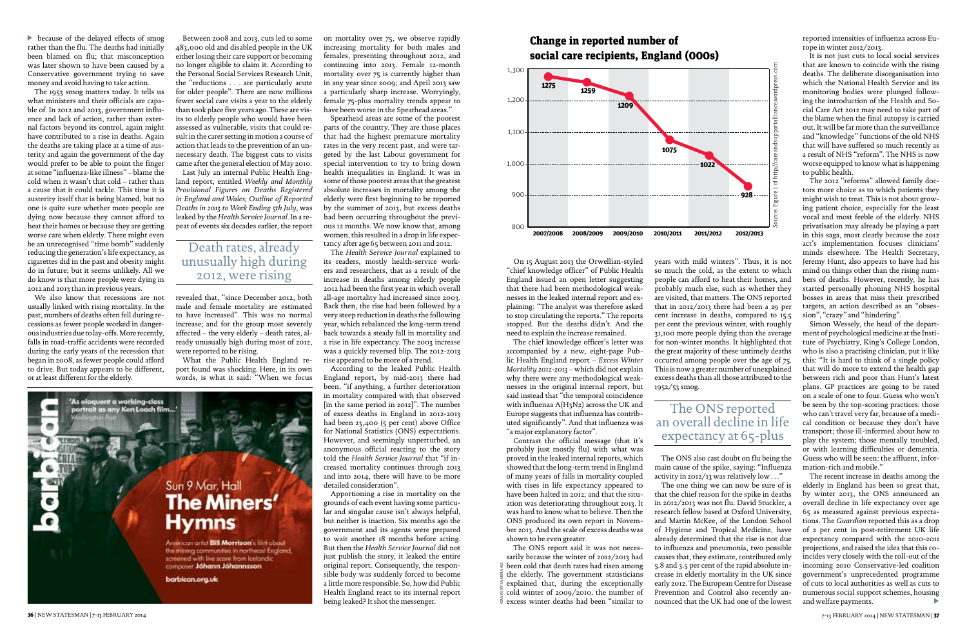because of the delayed effects of smog trather than the flu. The deaths had initially been blamed on flu; that misconception was later shown to have been caused by a Conservative government trying to save money and avoid having to take action.

The 1953 smog matters today. It tells us what ministers and their officials are capable of. In 2012 and 2013, government influence and lack of action, rather than external factors beyond its control, again might have contributed to a rise in deaths. Again the deaths are taking place at a time of austerity and again the government of the day would prefer to be able to point the finger at some "influenza-like illness" – blame the cold when it wasn't that cold – rather than a cause that it could tackle. This time it is austerity itself that is being blamed, but no one is quite sure whether more people are dying now because they cannot afford to heat their homes or because they are getting worse care when elderly. There might even be an unrecognised "time bomb" suddenly reducing the generation's life expectancy, as cigarettes did in the past and obesity might do in future; but it seems unlikely. All we do know is that more people were dying in 2012 and 2013 than in previous years.

We also know that recessions are not usually linked with rising mortality. In the past, numbers of deaths often fell during recessions as fewer people worked in dangerous industries due to lay-offs. More recently, falls in road-traffic accidents were recorded during the early years of the recession that began in 2008, as fewer people could afford to drive. But today appears to be different, or at least different for the elderly.

Between 2008 and 2013, cuts led to some 483,000 old and disabled people in the UK either losing their care support or becoming no longer eligible to claim it. According to the Personal Social Services Research Unit, the "reductions . . . are particularly acute for older people". There are now millions fewer social care visits a year to the elderly than took place five years ago. These are visits to elderly people who would have been assessed as vulnerable, visits that could result in the carer setting in motion a course of action that leads to the prevention of an unnecessary death. The biggest cuts to visits came after the general election of May 2010.

Last July an internal Public Health England report, entitled *Weekly and Monthly Provisional Figures on Deaths Registered in England and Wales; Outline of Reported Deaths in 2013 to Week Ending 5th July*, was leaked by the *Health Service Journal*. In a repeat of events six decades earlier, the report

revealed that, "since December 2012, both male and female mortality are estimated to have increased". This was no normal increase; and for the group most severely affected – the very elderly – death rates, already unusually high during most of 2012, were reported to be rising.

What the Public Health England report found was shocking. Here, in its own words, is what it said: "When we focus

'As eloquent a working-class portrait as any Ken Loach film. Sun 9 Mar, Hall **The Miners' Hymns** American artist **Bill Morrison's film about** the mining communities in northeast England, screened with live score from Icelandic composer Jóhann Jóhannsson barbican.org.uk

on mortality over 75, we observe rapidly increasing mortality for both males and females, presenting throughout 2012, and continuing into 2013. Female 12-month mortality over 75 is currently higher than in any year since 2009; and April 2013 saw a particularly sharp increase. Worryingly, female 75-plus mortality trends appear to have been worse in the Spearhead areas."

Spearhead areas are some of the poorest parts of the country. They are those places that had the highest premature mortality rates in the very recent past, and were targeted by the last Labour government for special intervention to try to bring down health inequalities in England. It was in some of those poorest areas that the greatest absolute increases in mortality among the elderly were first beginning to be reported by the summer of 2013, but excess deaths had been occurring throughout the previous 12 months. We now know that, among women, this resulted in a drop in life expectancy after age 65 between 2011 and 2012.

The *Health Service Journal* explained to its readers, mostly health-service workers and researchers, that as a result of the increase in deaths among elderly people 2012 had been the first year in which overall all-age mortality had increased since 2003. Back then, the rise had been followed by a very steep reduction in deaths the following year, which rebalanced the long-term trend back towards a steady fall in mortality and a rise in life expectancy. The 2003 increase was a quickly reversed blip. The 2012-2013 rise appeared to be more of a trend.

According to the leaked Public Health England report, by mid-2013 there had been, "if anything, a further deterioration in mortality compared with that observed [in the same period in 2012]". The number of excess deaths in England in 2012-2013 had been 23,400 (5 per cent) above Office for National Statistics (ONS) expectations. However, and seemingly unperturbed, an anonymous official reacting to the story told the *Health Service Journal* that "if increased mortality continues through 2013 and into 2014, there will have to be more detailed consideration".

The recent increase in deaths among the elderly in England has been so great that, by winter 2013, the ONS announced an overall decline in life expectancy over age 65 as measured against previous expectations. The *Guardian* reported this as a drop of 2 per cent in post-retirement UK life expectancy compared with the 2010-2011 projections, and raised the idea that this coincides very closely with the roll-out of the incoming 2010 Conservative-led coalition government's unprecedented programme of cuts to local authorities as well as cuts to numerous social support schemes, housing and welfare payments.  $\blacktriangleright$ 

Apportioning a rise in mortality on the grounds of each event having some particular and singular cause isn't always helpful, but neither is inaction. Six months ago the government and its agents were prepared to wait another 18 months before acting. But then the *Health Service Journal* did not just publish the story, it leaked the entire original report. Consequently, the responsible body was suddenly forced to become a little more responsible. So, how did Public Health England react to its internal report being leaked? It shot the messenger.

## Death rates, already unusually high during 2012, were rising

On 15 August 2013 the Orwellian-styled "chief knowledge officer" of Public Health England issued an open letter suggesting that there had been methodological weaknesses in the leaked internal report and explaining: "The analyst was therefore asked to stop circulating the reports." The reports stopped. But the deaths didn't. And the need to explain the increase remained.

The chief knowledge officer's letter was accompanied by a new, eight-page Public Health England report – *Excess Winter Mortality 2012-2013* – which did not explain why there were any methodological weaknesses in the original internal report, but said instead that "the temporal coincidence with influenza A(H3N2) across the UK and Europe suggests that influenza has contributed significantly". And that influenza was "a major explanatory factor".

Contrast the official message (that it's probably just mostly flu) with what was proved in the leaked internal reports, which showed that the long-term trend in England of many years of falls in mortality coupled with rises in life expectancy appeared to have been halted in 2012; and that the situation was deteriorating throughout 2013. It was hard to know what to believe. Then the ONS produced its own report in November 2013. And the scale of excess deaths was shown to be even greater.

years with mild winters". Thus, it is not so much the cold, as the extent to which people can afford to heat their homes, and probably much else, such as whether they are visited, that matters. The ONS reported that in 2012/2013 there had been a 29 per cent increase in deaths, compared to 15.5 per cent the previous winter, with roughly 31,100 more people dying than the average for non-winter months. It highlighted that the great majority of these untimely deaths occurred among people over the age of 75. This is now a greater number of unexplained excess deaths than all those attributed to the 1952/53 smog.

The ONS also cast doubt on flu being the main cause of the spike, saying: "Influenza activity in 2012/13 was relatively low . . ."

The one thing we can now be sure of is that the chief reason for the spike in deaths in 2012/2013 was not flu. David Stuckler, a research fellow based at Oxford University, and Martin McKee, of the London School of Hygiene and Tropical Medicine, have already determined that the rise is not due to influenza and pneumonia, two possible causes that, they estimate, contributed only 5.8 and 3.5 per cent of the rapid absolute increase in elderly mortality in the UK since early 2012. The European Centre for Disease Prevention and Control also recently announced that the UK had one of the lowest reported intensities of influenza across Europe in winter 2012/2013.

It is not just cuts to local social services that are known to coincide with the rising deaths. The deliberate disorganisation into which the National Health Service and its monitoring bodies were plunged following the introduction of the Health and Social Care Act 2012 may need to take part of the blame when the final autopsy is carried out. It will be far more than the surveillance and "knowledge" functions of the old NHS that will have suffered so much recently as a result of NHS "reform". The NHS is now worse equipped to know what is happening to public health.

The ONS report said it was not necessarily because the winter of 2012/2013 had been cold that death rates had risen among the elderly. The government statisticians explained that, during the exceptionally cold winter of 2009/2010, the number of  $\frac{5}{6}$  excess winter deaths had been "similar to GRAPH BY SAMINA ALI

The 2012 "reforms" allowed family doctors more choice as to which patients they might wish to treat. This is not about growing patient choice, especially for the least vocal and most feeble of the elderly. NHS privatisation may already be playing a part in this saga, most clearly because the 2012 act's implementation focuses clinicians' minds elsewhere. The Health Secretary, Jeremy Hunt, also appears to have had his mind on things other than the rising numbers of deaths. However, recently, he has started personally phoning NHS hospital bosses in areas that miss their prescribed targets, an action described as an "obsession", "crazy" and "hindering".

Simon Wessely, the head of the department of psychological medicine at the Institute of Psychiatry, King's College London, who is also a practising clinician, put it like this: "It is hard to think of a single policy that will do more to extend the health gap between rich and poor than Hunt's latest plans. GP practices are going to be rated on a scale of one to four. Guess who won't be seen by the top-scoring practices: those who can't travel very far, because of a medical condition or because they don't have transport; those ill-informed about how to play the system; those mentally troubled, or with learning difficulties or dementia. Guess who will be seen: the affluent, information-rich and mobile."

### Change in reported number of social care recipients, England (000s)





## The ONS reported an overall decline in life expectancy at 65-plus